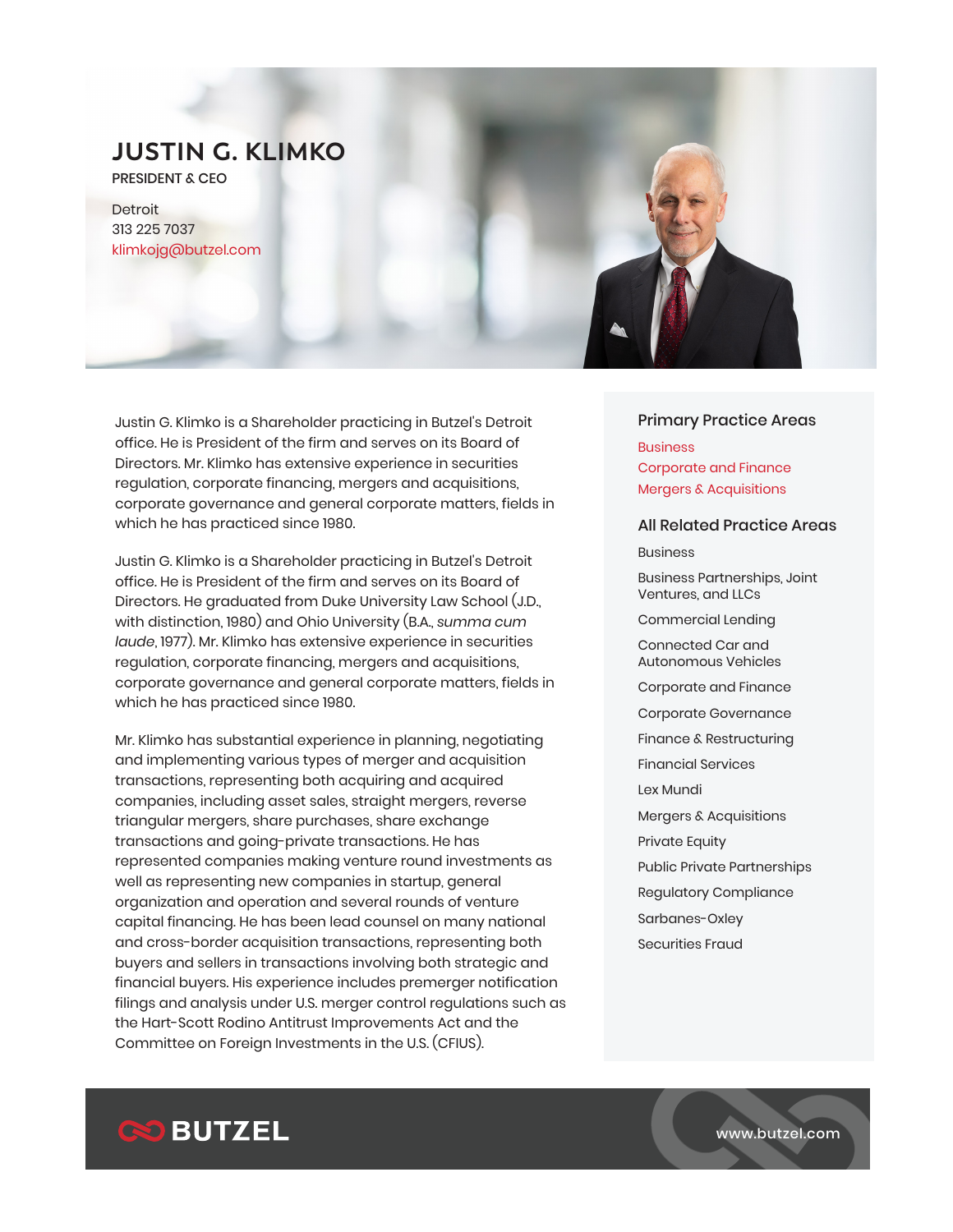PRESIDENT & CEO

Detroit 313 225 7037 klimkojg@butzel.com

Justin G. Klimko is a Shareholder practicing in Butzel's Detroit office. He is President of the firm and serves on its Board of Directors. Mr. Klimko has extensive experience in securities regulation, corporate financing, mergers and acquisitions, corporate governance and general corporate matters, fields in which he has practiced since 1980.

Justin G. Klimko is a Shareholder practicing in Butzel's Detroit office. He is President of the firm and serves on its Board of Directors. He graduated from Duke University Law School (J.D., with distinction, 1980) and Ohio University (B.A., *summa cum laude*, 1977). Mr. Klimko has extensive experience in securities regulation, corporate financing, mergers and acquisitions, corporate governance and general corporate matters, fields in which he has practiced since 1980.

Mr. Klimko has substantial experience in planning, negotiating and implementing various types of merger and acquisition transactions, representing both acquiring and acquired companies, including asset sales, straight mergers, reverse triangular mergers, share purchases, share exchange transactions and going-private transactions. He has represented companies making venture round investments as well as representing new companies in startup, general organization and operation and several rounds of venture capital financing. He has been lead counsel on many national and cross-border acquisition transactions, representing both buyers and sellers in transactions involving both strategic and financial buyers. His experience includes premerger notification filings and analysis under U.S. merger control regulations such as the Hart-Scott Rodino Antitrust Improvements Act and the Committee on Foreign Investments in the U.S. (CFIUS).

#### Primary Practice Areas

**Business** Corporate and Finance Mergers & Acquisitions

#### All Related Practice Areas

Business

Business Partnerships, Joint Ventures, and LLCs

Commercial Lending

Connected Car and Autonomous Vehicles

Corporate and Finance

Corporate Governance

Finance & Restructuring

Financial Services

Lex Mundi

Mergers & Acquisitions

Private Equity

Public Private Partnerships

Regulatory Compliance

Sarbanes-Oxley

Securities Fraud

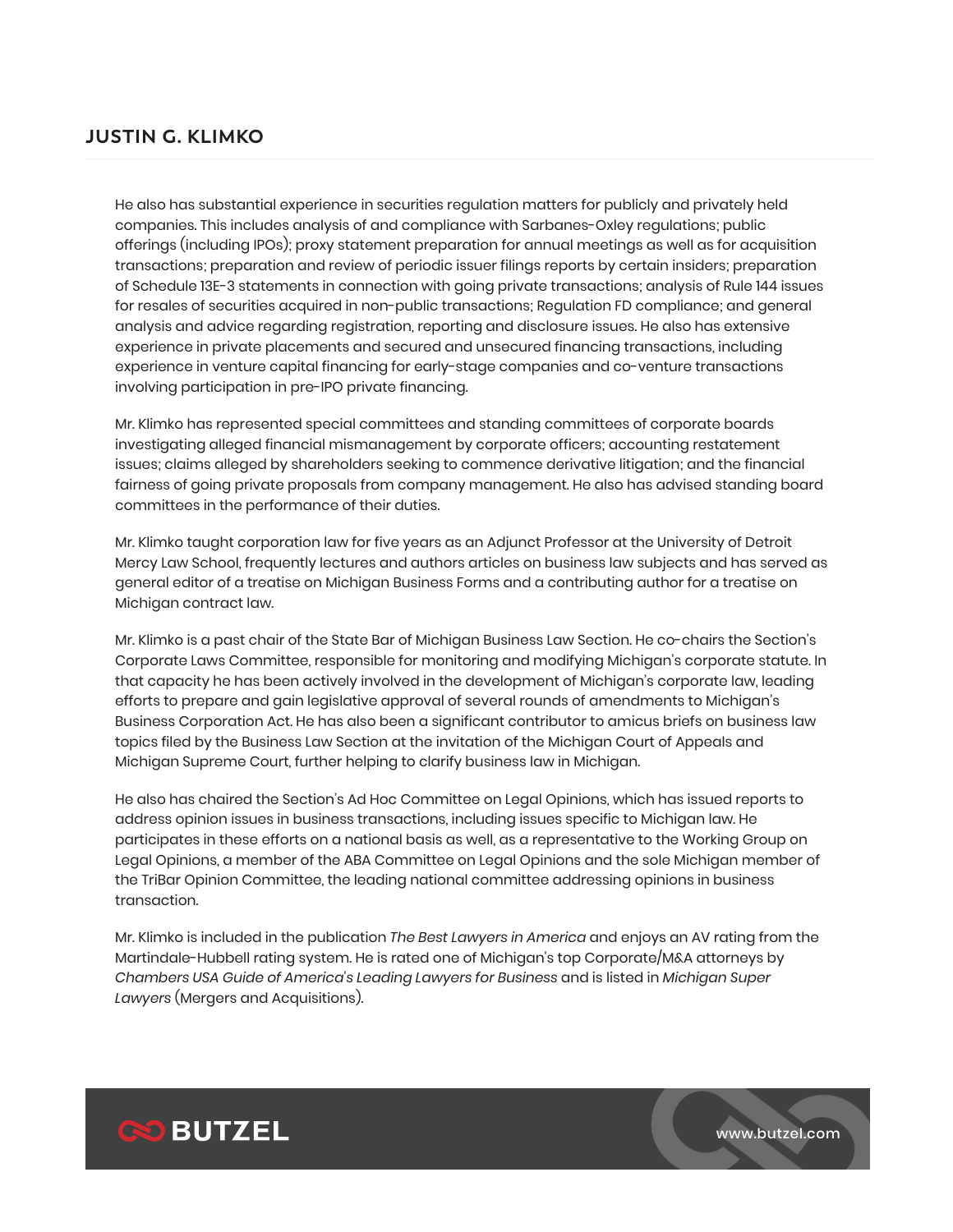He also has substantial experience in securities regulation matters for publicly and privately held companies. This includes analysis of and compliance with Sarbanes-Oxley regulations; public offerings (including IPOs); proxy statement preparation for annual meetings as well as for acquisition transactions; preparation and review of periodic issuer filings reports by certain insiders; preparation of Schedule 13E-3 statements in connection with going private transactions; analysis of Rule 144 issues for resales of securities acquired in non-public transactions; Regulation FD compliance; and general analysis and advice regarding registration, reporting and disclosure issues. He also has extensive experience in private placements and secured and unsecured financing transactions, including experience in venture capital financing for early-stage companies and co-venture transactions involving participation in pre-IPO private financing.

Mr. Klimko has represented special committees and standing committees of corporate boards investigating alleged financial mismanagement by corporate officers; accounting restatement issues; claims alleged by shareholders seeking to commence derivative litigation; and the financial fairness of going private proposals from company management. He also has advised standing board committees in the performance of their duties.

Mr. Klimko taught corporation law for five years as an Adjunct Professor at the University of Detroit Mercy Law School, frequently lectures and authors articles on business law subjects and has served as general editor of a treatise on Michigan Business Forms and a contributing author for a treatise on Michigan contract law.

Mr. Klimko is a past chair of the State Bar of Michigan Business Law Section. He co-chairs the Section's Corporate Laws Committee, responsible for monitoring and modifying Michigan's corporate statute. In that capacity he has been actively involved in the development of Michigan's corporate law, leading efforts to prepare and gain legislative approval of several rounds of amendments to Michigan's Business Corporation Act. He has also been a significant contributor to amicus briefs on business law topics filed by the Business Law Section at the invitation of the Michigan Court of Appeals and Michigan Supreme Court, further helping to clarify business law in Michigan.

He also has chaired the Section's Ad Hoc Committee on Legal Opinions, which has issued reports to address opinion issues in business transactions, including issues specific to Michigan law. He participates in these efforts on a national basis as well, as a representative to the Working Group on Legal Opinions, a member of the ABA Committee on Legal Opinions and the sole Michigan member of the TriBar Opinion Committee, the leading national committee addressing opinions in business transaction.

Mr. Klimko is included in the publication *The Best Lawyers in America* and enjoys an AV rating from the Martindale-Hubbell rating system. He is rated one of Michigan's top Corporate/M&A attorneys by *Chambers USA Guide of America's Leading Lawyers for Business* and is listed in *Michigan Super Lawyers* (Mergers and Acquisitions).

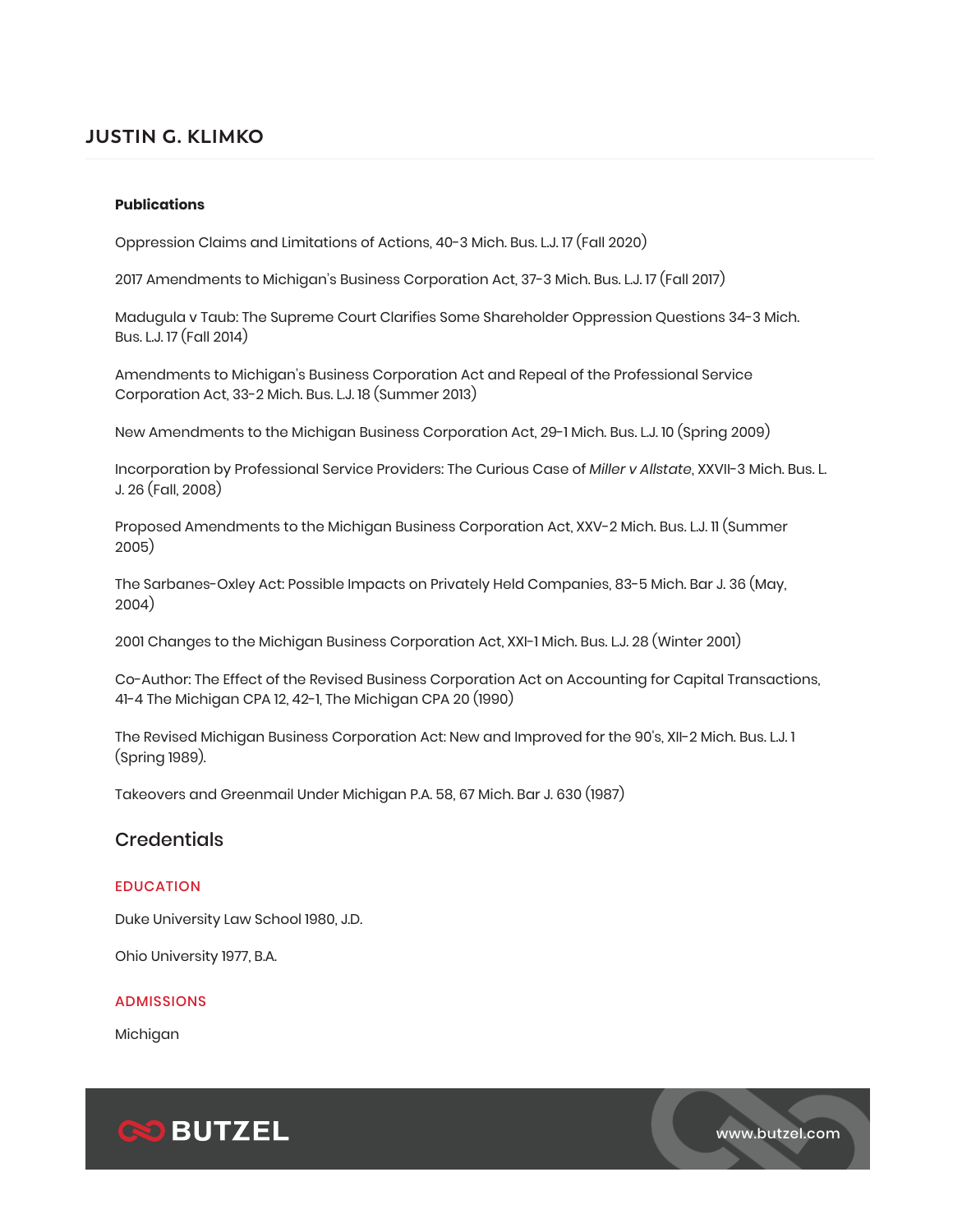#### **Publications**

Oppression Claims and Limitations of Actions, 40-3 Mich. Bus. L.J. 17 (Fall 2020)

2017 Amendments to Michigan's Business Corporation Act, 37-3 Mich. Bus. L.J. 17 (Fall 2017)

Madugula v Taub: The Supreme Court Clarifies Some Shareholder Oppression Questions 34-3 Mich. Bus. L.J. 17 (Fall 2014)

Amendments to Michigan's Business Corporation Act and Repeal of the Professional Service Corporation Act, 33-2 Mich. Bus. L.J. 18 (Summer 2013)

New Amendments to the Michigan Business Corporation Act, 29-1 Mich. Bus. L.J. 10 (Spring 2009)

Incorporation by Professional Service Providers: The Curious Case of *Miller v Allstate*, XXVII-3 Mich. Bus. L. J. 26 (Fall, 2008)

Proposed Amendments to the Michigan Business Corporation Act, XXV-2 Mich. Bus. L.J. 11 (Summer 2005)

The Sarbanes-Oxley Act: Possible Impacts on Privately Held Companies, 83-5 Mich. Bar J. 36 (May, 2004)

2001 Changes to the Michigan Business Corporation Act, XXI-1 Mich. Bus. L.J. 28 (Winter 2001)

Co-Author: The Effect of the Revised Business Corporation Act on Accounting for Capital Transactions, 41-4 The Michigan CPA 12, 42-1, The Michigan CPA 20 (1990)

The Revised Michigan Business Corporation Act: New and Improved for the 90's, XII-2 Mich. Bus. L.J. 1 (Spring 1989).

Takeovers and Greenmail Under Michigan P.A. 58, 67 Mich. Bar J. 630 (1987)

### **Credentials**

#### EDUCATION

Duke University Law School 1980, J.D.

Ohio University 1977, B.A.

#### ADMISSIONS

Michigan



www.butzel.com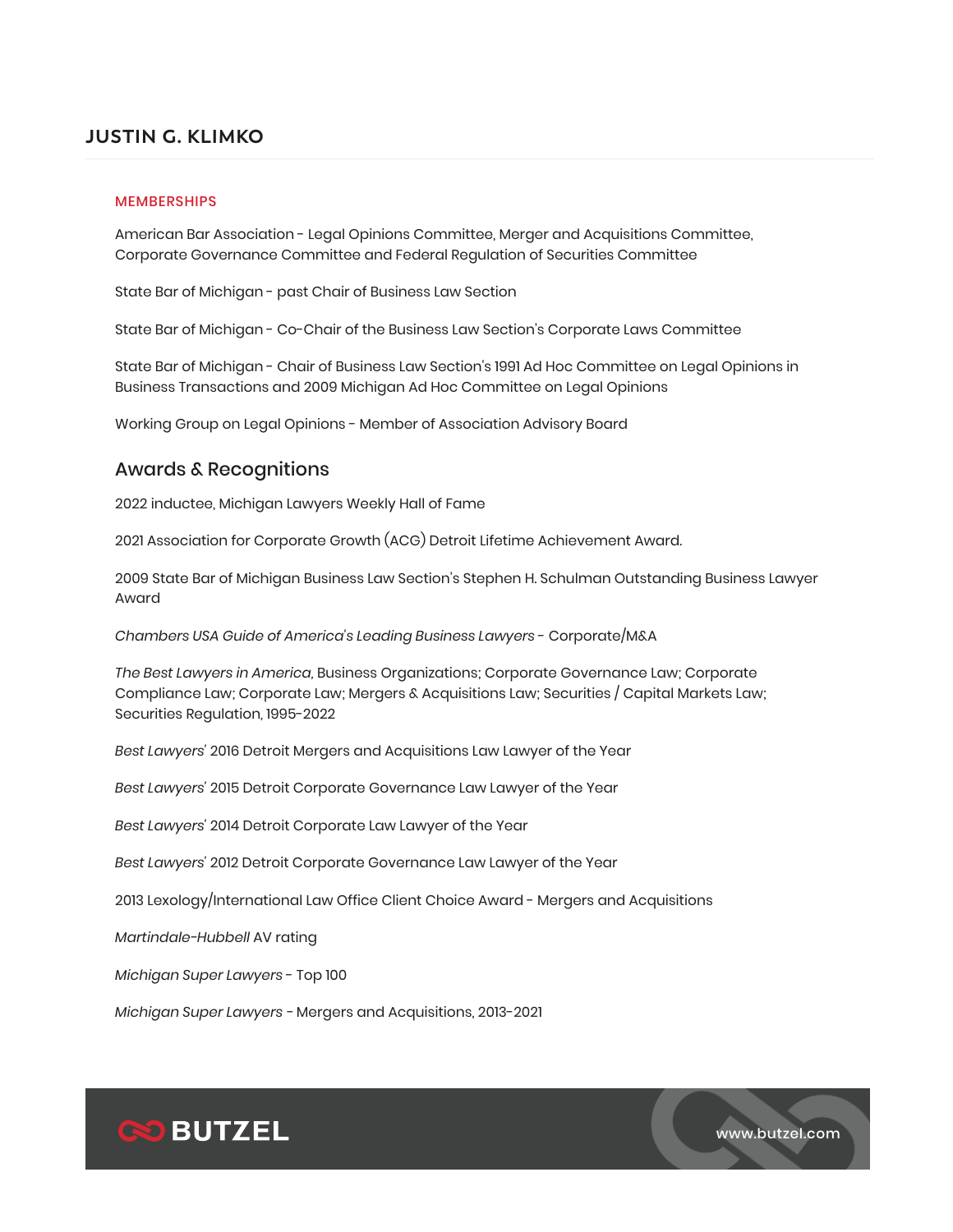#### MEMBERSHIPS

American Bar Association - Legal Opinions Committee, Merger and Acquisitions Committee, Corporate Governance Committee and Federal Regulation of Securities Committee

State Bar of Michigan - past Chair of Business Law Section

State Bar of Michigan - Co-Chair of the Business Law Section's Corporate Laws Committee

State Bar of Michigan - Chair of Business Law Section's 1991 Ad Hoc Committee on Legal Opinions in Business Transactions and 2009 Michigan Ad Hoc Committee on Legal Opinions

Working Group on Legal Opinions - Member of Association Advisory Board

### Awards & Recognitions

2022 inductee, Michigan Lawyers Weekly Hall of Fame

2021 Association for Corporate Growth (ACG) Detroit Lifetime Achievement Award.

2009 State Bar of Michigan Business Law Section's Stephen H. Schulman Outstanding Business Lawyer Award

*Chambers USA Guide of America's Leading Business Lawyers* - Corporate/M&A

*The Best Lawyers in America,* Business Organizations; Corporate Governance Law; Corporate Compliance Law; Corporate Law; Mergers & Acquisitions Law; Securities / Capital Markets Law; Securities Regulation, 1995-2022

*Best Lawyers'* 2016 Detroit Mergers and Acquisitions Law Lawyer of the Year

*Best Lawyers'* 2015 Detroit Corporate Governance Law Lawyer of the Year

*Best Lawyers'* 2014 Detroit Corporate Law Lawyer of the Year

*Best Lawyers'* 2012 Detroit Corporate Governance Law Lawyer of the Year

2013 Lexology/International Law Office Client Choice Award - Mergers and Acquisitions

*Martindale-Hubbell* AV rating

*Michigan Super Lawyers* - Top 100

*Michigan Super Lawyers -* Mergers and Acquisitions, 2013-2021



www.butzel.com